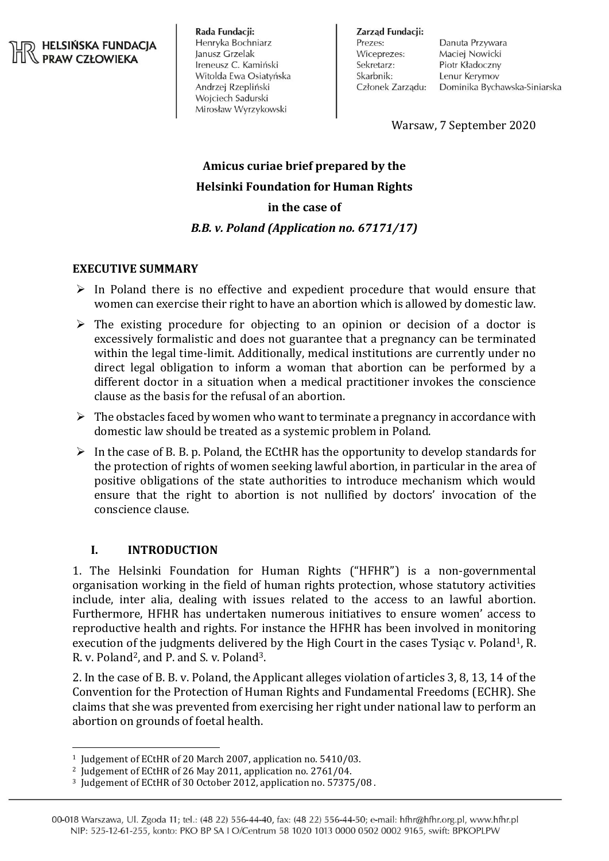#### **HELSIŃSKA FUNDACJA PRAW CZŁOWIEKA**

Rada Fundacji: Henryka Bochniarz Janusz Grzelak Ireneusz C. Kamiński Witolda Ewa Osiatyńska Andrzej Rzepliński Wojciech Sadurski Mirosław Wyrzykowski

Zarzad Fundacji: Prezes: Wiceprezes: Sekretarz: Skarbnik: Członek Zarządu:

Danuta Przywara Maciej Nowicki Piotr Kładoczny Lenur Kerymov Dominika Bychawska-Siniarska

Warsaw, 7 September 2020

# **Amicus curiae brief prepared by the Helsinki Foundation for Human Rights in the case of** *B.B. v. Poland (Application no. 67171/17)*

# **EXECUTIVE SUMMARY**

- $\triangleright$  In Poland there is no effective and expedient procedure that would ensure that women can exercise their right to have an abortion which is allowed by domestic law.
- $\triangleright$  The existing procedure for objecting to an opinion or decision of a doctor is excessively formalistic and does not guarantee that a pregnancy can be terminated within the legal time-limit. Additionally, medical institutions are currently under no direct legal obligation to inform a woman that abortion can be performed by a different doctor in a situation when a medical practitioner invokes the conscience clause as the basis for the refusal of an abortion.
- $\triangleright$  The obstacles faced by women who want to terminate a pregnancy in accordance with domestic law should be treated as a systemic problem in Poland.
- $\triangleright$  In the case of B. B. p. Poland, the ECtHR has the opportunity to develop standards for the protection of rights of women seeking lawful abortion, in particular in the area of positive obligations of the state authorities to introduce mechanism which would ensure that the right to abortion is not nullified by doctors' invocation of the conscience clause.

## **I. INTRODUCTION**

1. The Helsinki Foundation for Human Rights ("HFHR") is a non-governmental organisation working in the field of human rights protection, whose statutory activities include, inter alia, dealing with issues related to the access to an lawful abortion. Furthermore, HFHR has undertaken numerous initiatives to ensure women' access to reproductive health and rights. For instance the HFHR has been involved in monitoring execution of the judgments delivered by the High Court in the cases Tysiac v. Poland<sup>1</sup>, R. R. v. Poland<sup>2</sup>, and P. and S. v. Poland<sup>3</sup>.

2. In the case of B. B. v. Poland, the Applicant alleges violation of articles 3, 8, 13, 14 of the Convention for the Protection of Human Rights and Fundamental Freedoms (ECHR). She claims that she was prevented from exercising her right under national law to perform an abortion on grounds of foetal health.

 $\overline{a}$ <sup>1</sup> Judgement of ECtHR of 20 March 2007, application no. 5410/03.

<sup>2</sup> Judgement of ECtHR of 26 May 2011, application no. 2761/04.

<sup>3</sup> Judgement of ECtHR of 30 October 2012, application no. 57375/08 .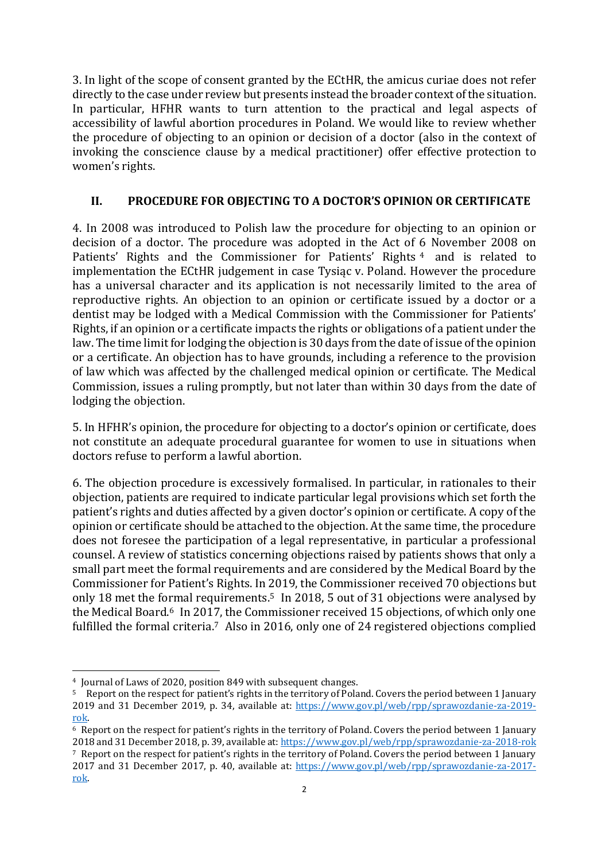3. In light of the scope of consent granted by the ECtHR, the amicus curiae does not refer directly to the case under review but presents instead the broader context of the situation. In particular, HFHR wants to turn attention to the practical and legal aspects of accessibility of lawful abortion procedures in Poland. We would like to review whether the procedure of objecting to an opinion or decision of a doctor (also in the context of invoking the conscience clause by a medical practitioner) offer effective protection to women's rights.

# **II. PROCEDURE FOR OBJECTING TO A DOCTOR'S OPINION OR CERTIFICATE**

4. In 2008 was introduced to Polish law the procedure for objecting to an opinion or decision of a doctor. The procedure was adopted in the Act of 6 November 2008 on Patients' Rights and the Commissioner for Patients' Rights<sup>4</sup> and is related to implementation the ECtHR judgement in case Tysiąc v. Poland. However the procedure has a universal character and its application is not necessarily limited to the area of reproductive rights. An objection to an opinion or certificate issued by a doctor or a dentist may be lodged with a Medical Commission with the Commissioner for Patients' Rights, if an opinion or a certificate impacts the rights or obligations of a patient under the law. The time limit for lodging the objection is 30 days from the date of issue of the opinion or a certificate. An objection has to have grounds, including a reference to the provision of law which was affected by the challenged medical opinion or certificate. The Medical Commission, issues a ruling promptly, but not later than within 30 days from the date of lodging the objection.

5. In HFHR's opinion, the procedure for objecting to a doctor's opinion or certificate, does not constitute an adequate procedural guarantee for women to use in situations when doctors refuse to perform a lawful abortion.

6. The objection procedure is excessively formalised. In particular, in rationales to their objection, patients are required to indicate particular legal provisions which set forth the patient's rights and duties affected by a given doctor's opinion or certificate. A copy of the opinion or certificate should be attached to the objection. At the same time, the procedure does not foresee the participation of a legal representative, in particular a professional counsel. A review of statistics concerning objections raised by patients shows that only a small part meet the formal requirements and are considered by the Medical Board by the Commissioner for Patient's Rights. In 2019, the Commissioner received 70 objections but only 18 met the formal requirements.<sup>5</sup> In 2018, 5 out of 31 objections were analysed by the Medical Board.<sup>6</sup> In 2017, the Commissioner received 15 objections, of which only one fulfilled the formal criteria.<sup>7</sup> Also in 2016, only one of 24 registered objections complied

 $\overline{a}$ <sup>4</sup> Journal of Laws of 2020, position 849 with subsequent changes.

<sup>5</sup> Report on the respect for patient's rights in the territory of Poland. Covers the period between 1 January 2019 and 31 December 2019, p. 34, available at: [https://www.gov.pl/web/rpp/sprawozdanie-za-2019](https://www.gov.pl/web/rpp/sprawozdanie-za-2019-rok) [rok.](https://www.gov.pl/web/rpp/sprawozdanie-za-2019-rok) 

<sup>6</sup> Report on the respect for patient's rights in the territory of Poland. Covers the period between 1 January 2018 and 31 December 2018, p. 39, available at: <https://www.gov.pl/web/rpp/sprawozdanie-za-2018-rok> <sup>7</sup> Report on the respect for patient's rights in the territory of Poland. Covers the period between 1 January 2017 and 31 December 2017, p. 40, available at: [https://www.gov.pl/web/rpp/sprawozdanie-za-2017](https://www.gov.pl/web/rpp/sprawozdanie-za-2017-rok) [rok.](https://www.gov.pl/web/rpp/sprawozdanie-za-2017-rok)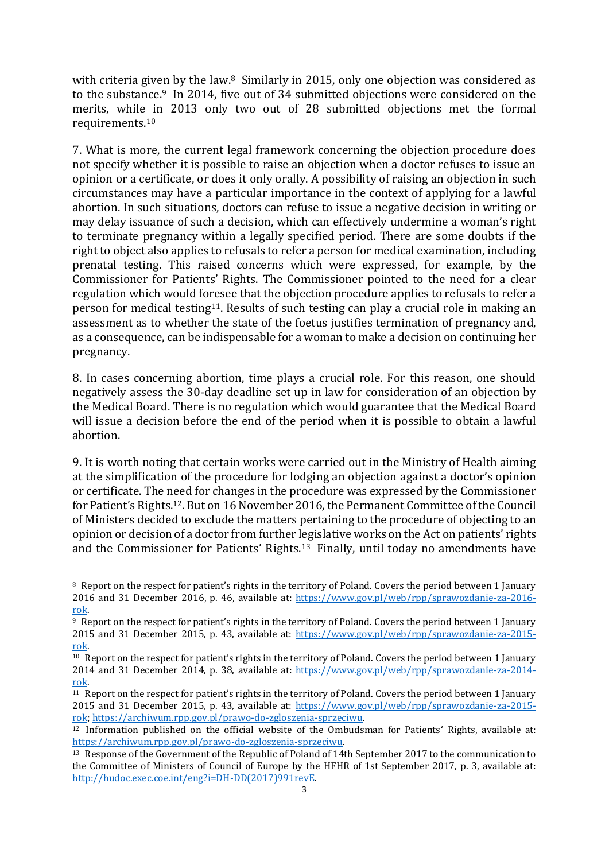with criteria given by the law.<sup>8</sup> Similarly in 2015, only one objection was considered as to the substance.<sup>9</sup> In 2014, five out of 34 submitted objections were considered on the merits, while in 2013 only two out of 28 submitted objections met the formal requirements.<sup>10</sup>

7. What is more, the current legal framework concerning the objection procedure does not specify whether it is possible to raise an objection when a doctor refuses to issue an opinion or a certificate, or does it only orally. A possibility of raising an objection in such circumstances may have a particular importance in the context of applying for a lawful abortion. In such situations, doctors can refuse to issue a negative decision in writing or may delay issuance of such a decision, which can effectively undermine a woman's right to terminate pregnancy within a legally specified period. There are some doubts if the right to object also applies to refusals to refer a person for medical examination, including prenatal testing. This raised concerns which were expressed, for example, by the Commissioner for Patients' Rights. The Commissioner pointed to the need for a clear regulation which would foresee that the objection procedure applies to refusals to refer a person for medical testing11. Results of such testing can play a crucial role in making an assessment as to whether the state of the foetus justifies termination of pregnancy and, as a consequence, can be indispensable for a woman to make a decision on continuing her pregnancy.

8. In cases concerning abortion, time plays a crucial role. For this reason, one should negatively assess the 30-day deadline set up in law for consideration of an objection by the Medical Board. There is no regulation which would guarantee that the Medical Board will issue a decision before the end of the period when it is possible to obtain a lawful abortion.

9. It is worth noting that certain works were carried out in the Ministry of Health aiming at the simplification of the procedure for lodging an objection against a doctor's opinion or certificate. The need for changes in the procedure was expressed by the Commissioner for Patient's Rights.12. But on 16 November 2016, the Permanent Committee of the Council of Ministers decided to exclude the matters pertaining to the procedure of objecting to an opinion or decision of a doctor from further legislative works on the Act on patients' rights and the Commissioner for Patients' Rights.<sup>13</sup> Finally, until today no amendments have

 $\overline{a}$ 

<sup>&</sup>lt;sup>8</sup> Report on the respect for patient's rights in the territory of Poland. Covers the period between 1 January 2016 and 31 December 2016, p. 46, available at: [https://www.gov.pl/web/rpp/sprawozdanie-za-2016](https://www.gov.pl/web/rpp/sprawozdanie-za-2016-rok) [rok.](https://www.gov.pl/web/rpp/sprawozdanie-za-2016-rok) 

<sup>9</sup> Report on the respect for patient's rights in the territory of Poland. Covers the period between 1 January 2015 and 31 December 2015, p. 43, available at: [https://www.gov.pl/web/rpp/sprawozdanie-za-2015](https://www.gov.pl/web/rpp/sprawozdanie-za-2015-rok) [rok.](https://www.gov.pl/web/rpp/sprawozdanie-za-2015-rok) 

<sup>10</sup> Report on the respect for patient's rights in the territory of Poland. Covers the period between 1 January 2014 and 31 December 2014, p. 38, available at: [https://www.gov.pl/web/rpp/sprawozdanie-za-2014](https://www.gov.pl/web/rpp/sprawozdanie-za-2014-rok) [rok.](https://www.gov.pl/web/rpp/sprawozdanie-za-2014-rok) 

<sup>11</sup> Report on the respect for patient's rights in the territory of Poland. Covers the period between 1 January 2015 and 31 December 2015, p. 43, available at: [https://www.gov.pl/web/rpp/sprawozdanie-za-2015](https://www.gov.pl/web/rpp/sprawozdanie-za-2015-rok) [rok;](https://www.gov.pl/web/rpp/sprawozdanie-za-2015-rok) [https://archiwum.rpp.gov.pl/prawo-do-zgloszenia-sprzeciwu.](https://archiwum.rpp.gov.pl/prawo-do-zgloszenia-sprzeciwu)

<sup>12</sup> Information published on the official website of the Ombudsman for Patients' Rights, available at: [https://archiwum.rpp.gov.pl/prawo-do-zgloszenia-sprzeciwu.](https://archiwum.rpp.gov.pl/prawo-do-zgloszenia-sprzeciwu) 

<sup>13</sup> Response of the Government of the Republic of Poland of 14th September 2017 to the communication to the Committee of Ministers of Council of Europe by the HFHR of 1st September 2017, p. 3, available at: [http://hudoc.exec.coe.int/eng?i=DH-DD\(2017\)991revE.](http://hudoc.exec.coe.int/eng?i=DH-DD(2017)991revE)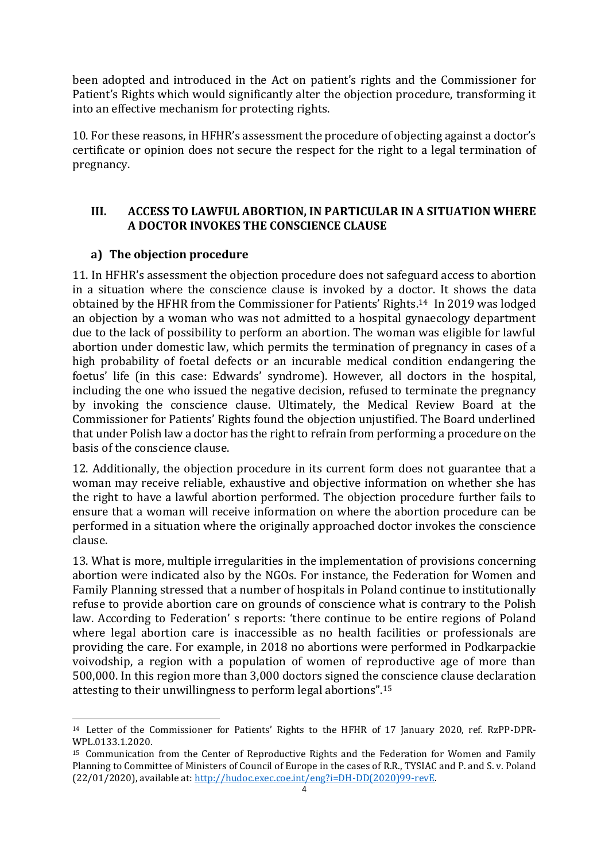been adopted and introduced in the Act on patient's rights and the Commissioner for Patient's Rights which would significantly alter the objection procedure, transforming it into an effective mechanism for protecting rights.

10. For these reasons, in HFHR's assessment the procedure of objecting against a doctor's certificate or opinion does not secure the respect for the right to a legal termination of pregnancy.

# **III. ACCESS TO LAWFUL ABORTION, IN PARTICULAR IN A SITUATION WHERE A DOCTOR INVOKES THE CONSCIENCE CLAUSE**

# **a) The objection procedure**

 $\overline{a}$ 

11. In HFHR's assessment the objection procedure does not safeguard access to abortion in a situation where the conscience clause is invoked by a doctor. It shows the data obtained by the HFHR from the Commissioner for Patients' Rights. <sup>14</sup> In 2019 was lodged an objection by a woman who was not admitted to a hospital gynaecology department due to the lack of possibility to perform an abortion. The woman was eligible for lawful abortion under domestic law, which permits the termination of pregnancy in cases of a high probability of foetal defects or an incurable medical condition endangering the foetus' life (in this case: Edwards' syndrome). However, all doctors in the hospital, including the one who issued the negative decision, refused to terminate the pregnancy by invoking the conscience clause. Ultimately, the Medical Review Board at the Commissioner for Patients' Rights found the objection unjustified. The Board underlined that under Polish law a doctor has the right to refrain from performing a procedure on the basis of the conscience clause.

12. Additionally, the objection procedure in its current form does not guarantee that a woman may receive reliable, exhaustive and objective information on whether she has the right to have a lawful abortion performed. The objection procedure further fails to ensure that a woman will receive information on where the abortion procedure can be performed in a situation where the originally approached doctor invokes the conscience clause.

13. What is more, multiple irregularities in the implementation of provisions concerning abortion were indicated also by the NGOs. For instance, the Federation for Women and Family Planning stressed that a number of hospitals in Poland continue to institutionally refuse to provide abortion care on grounds of conscience what is contrary to the Polish law. According to Federation' s reports: 'there continue to be entire regions of Poland where legal abortion care is inaccessible as no health facilities or professionals are providing the care. For example, in 2018 no abortions were performed in Podkarpackie voivodship, a region with a population of women of reproductive age of more than 500,000. In this region more than 3,000 doctors signed the conscience clause declaration attesting to their unwillingness to perform legal abortions". 15

<sup>14</sup> Letter of the Commissioner for Patients' Rights to the HFHR of 17 January 2020, ref. RzPP-DPR-WPL.0133.1.2020.

<sup>&</sup>lt;sup>15</sup> Communication from the Center of Reproductive Rights and the Federation for Women and Family Planning to Committee of Ministers of Council of Europe in the cases of R.R., TYSIAC and P. and S. v. Poland (22/01/2020), available at[: http://hudoc.exec.coe.int/eng?i=DH-DD\(2020\)99-revE.](http://hudoc.exec.coe.int/eng?i=DH-DD(2020)99-revE)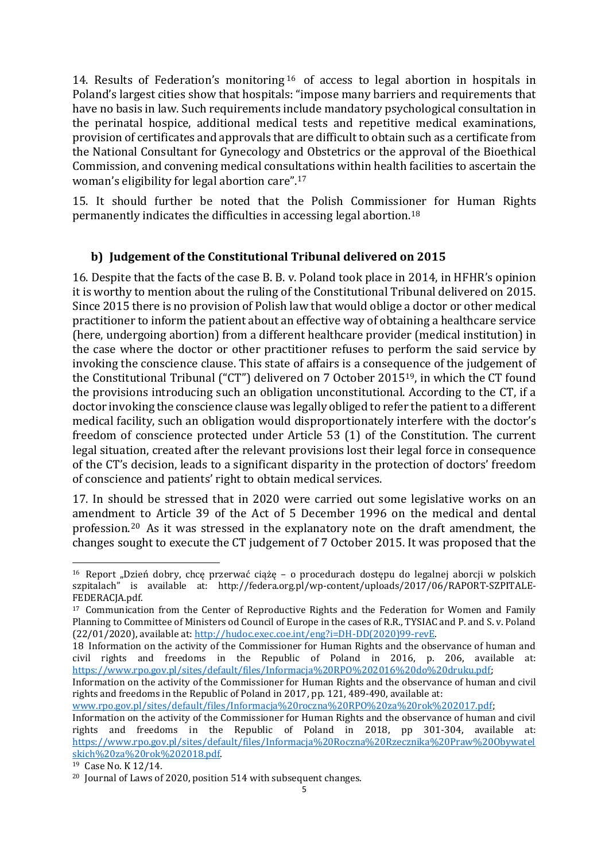14. Results of Federation's monitoring <sup>16</sup> of access to legal abortion in hospitals in Poland's largest cities show that hospitals: "impose many barriers and requirements that have no basis in law. Such requirements include mandatory psychological consultation in the perinatal hospice, additional medical tests and repetitive medical examinations, provision of certificates and approvals that are difficult to obtain such as a certificate from the National Consultant for Gynecology and Obstetrics or the approval of the Bioethical Commission, and convening medical consultations within health facilities to ascertain the woman's eligibility for legal abortion care".<sup>17</sup>

15. It should further be noted that the Polish Commissioner for Human Rights permanently indicates the difficulties in accessing legal abortion. 18

# **b) Judgement of the Constitutional Tribunal delivered on 2015**

16. Despite that the facts of the case B. B. v. Poland took place in 2014, in HFHR's opinion it is worthy to mention about the ruling of the Constitutional Tribunal delivered on 2015. Since 2015 there is no provision of Polish law that would oblige a doctor or other medical practitioner to inform the patient about an effective way of obtaining a healthcare service (here, undergoing abortion) from a different healthcare provider (medical institution) in the case where the doctor or other practitioner refuses to perform the said service by invoking the conscience clause. This state of affairs is a consequence of the judgement of the Constitutional Tribunal ("CT") delivered on 7 October 201519, in which the CT found the provisions introducing such an obligation unconstitutional. According to the CT, if a doctor invoking the conscience clause was legally obliged to refer the patient to a different medical facility, such an obligation would disproportionately interfere with the doctor's freedom of conscience protected under Article 53 (1) of the Constitution. The current legal situation, created after the relevant provisions lost their legal force in consequence of the CT's decision, leads to a significant disparity in the protection of doctors' freedom of conscience and patients' right to obtain medical services.

17. In should be stressed that in 2020 were carried out some legislative works on an amendment to Article 39 of the Act of 5 December 1996 on the medical and dental profession.<sup>20</sup> As it was stressed in the explanatory note on the draft amendment, the changes sought to execute the CT judgement of 7 October 2015. It was proposed that the

[www.rpo.gov.pl/sites/default/files/Informacja%20roczna%20RPO%20za%20rok%202017.pdf;](http://www.rpo.gov.pl/sites/default/files/Informacja%20roczna%20RPO%20za%20rok%202017.pdf)

 $\overline{a}$  $16$  Report "Dzień dobry, chce przerwać ciążę – o procedurach dostepu do legalnej aborcji w polskich szpitalach" is available at: http://federa.org.pl/wp-content/uploads/2017/06/RAPORT-SZPITALE-FEDERACJA.pdf.

<sup>&</sup>lt;sup>17</sup> Communication from the Center of Reproductive Rights and the Federation for Women and Family Planning to Committee of Ministers od Council of Europe in the cases of R.R., TYSIAC and P. and S. v. Poland (22/01/2020), available at[: http://hudoc.exec.coe.int/eng?i=DH-DD\(2020\)99-revE.](http://hudoc.exec.coe.int/eng?i=DH-DD(2020)99-revE) 

<sup>18</sup> Information on the activity of the Commissioner for Human Rights and the observance of human and civil rights and freedoms in the Republic of Poland in 2016, p. 206, available at: [https://www.rpo.gov.pl/sites/default/files/Informacja%20RPO%202016%20do%20druku.pdf;](https://www.rpo.gov.pl/sites/default/files/Informacja%20RPO%202016%20do%20druku.pdf)

Information on the activity of the Commissioner for Human Rights and the observance of human and civil rights and freedoms in the Republic of Poland in 2017, pp. 121, 489-490, available at:

Information on the activity of the Commissioner for Human Rights and the observance of human and civil rights and freedoms in the Republic of Poland in 2018, pp 301-304, available at: [https://www.rpo.gov.pl/sites/default/files/Informacja%20Roczna%20Rzecznika%20Praw%20Obywatel](https://www.rpo.gov.pl/sites/default/files/Informacja%20Roczna%20Rzecznika%20Praw%20Obywatelskich%20za%20rok%202018.pdf) [skich%20za%20rok%202018.pdf.](https://www.rpo.gov.pl/sites/default/files/Informacja%20Roczna%20Rzecznika%20Praw%20Obywatelskich%20za%20rok%202018.pdf)

<sup>19</sup> Case No. K 12/14.

<sup>&</sup>lt;sup>20</sup> Journal of Laws of 2020, position 514 with subsequent changes.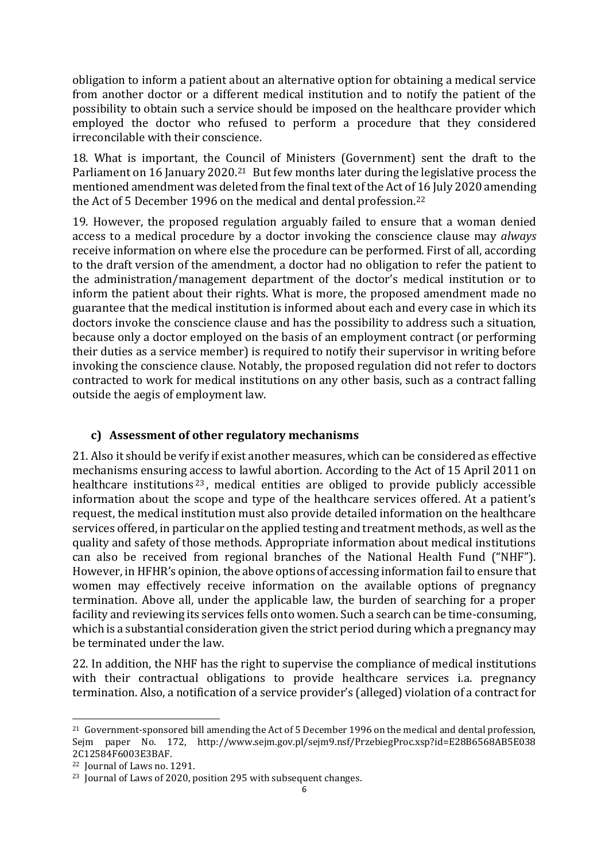obligation to inform a patient about an alternative option for obtaining a medical service from another doctor or a different medical institution and to notify the patient of the possibility to obtain such a service should be imposed on the healthcare provider which employed the doctor who refused to perform a procedure that they considered irreconcilable with their conscience.

18. What is important, the Council of Ministers (Government) sent the draft to the Parliament on 16 January 2020.<sup>21</sup> But few months later during the legislative process the mentioned amendment was deleted from the final text of the Act of 16 July 2020 amending the Act of 5 December 1996 on the medical and dental profession. 22

19. However, the proposed regulation arguably failed to ensure that a woman denied access to a medical procedure by a doctor invoking the conscience clause may *always* receive information on where else the procedure can be performed. First of all, according to the draft version of the amendment, a doctor had no obligation to refer the patient to the administration/management department of the doctor's medical institution or to inform the patient about their rights. What is more, the proposed amendment made no guarantee that the medical institution is informed about each and every case in which its doctors invoke the conscience clause and has the possibility to address such a situation, because only a doctor employed on the basis of an employment contract (or performing their duties as a service member) is required to notify their supervisor in writing before invoking the conscience clause. Notably, the proposed regulation did not refer to doctors contracted to work for medical institutions on any other basis, such as a contract falling outside the aegis of employment law.

## **c) Assessment of other regulatory mechanisms**

21. Also it should be verify if exist another measures, which can be considered as effective mechanisms ensuring access to lawful abortion. According to the Act of 15 April 2011 on healthcare institutions<sup>23</sup>, medical entities are obliged to provide publicly accessible information about the scope and type of the healthcare services offered. At a patient's request, the medical institution must also provide detailed information on the healthcare services offered, in particular on the applied testing and treatment methods, as well as the quality and safety of those methods. Appropriate information about medical institutions can also be received from regional branches of the National Health Fund ("NHF"). However, in HFHR's opinion, the above options of accessing information fail to ensure that women may effectively receive information on the available options of pregnancy termination. Above all, under the applicable law, the burden of searching for a proper facility and reviewing its services fells onto women. Such a search can be time-consuming, which is a substantial consideration given the strict period during which a pregnancy may be terminated under the law.

22. In addition, the NHF has the right to supervise the compliance of medical institutions with their contractual obligations to provide healthcare services *i.a.* pregnancy termination. Also, a notification of a service provider's (alleged) violation of a contract for

 $\overline{a}$ 

<sup>21</sup> Government-sponsored bill amending the Act of 5 December 1996 on the medical and dental profession, Sejm paper No. 172, http://www.sejm.gov.pl/sejm9.nsf/PrzebiegProc.xsp?id=E28B6568AB5E038 2C12584F6003E3BAF.

<sup>22</sup> Journal of Laws no. 1291.

<sup>&</sup>lt;sup>23</sup> Journal of Laws of 2020, position 295 with subsequent changes.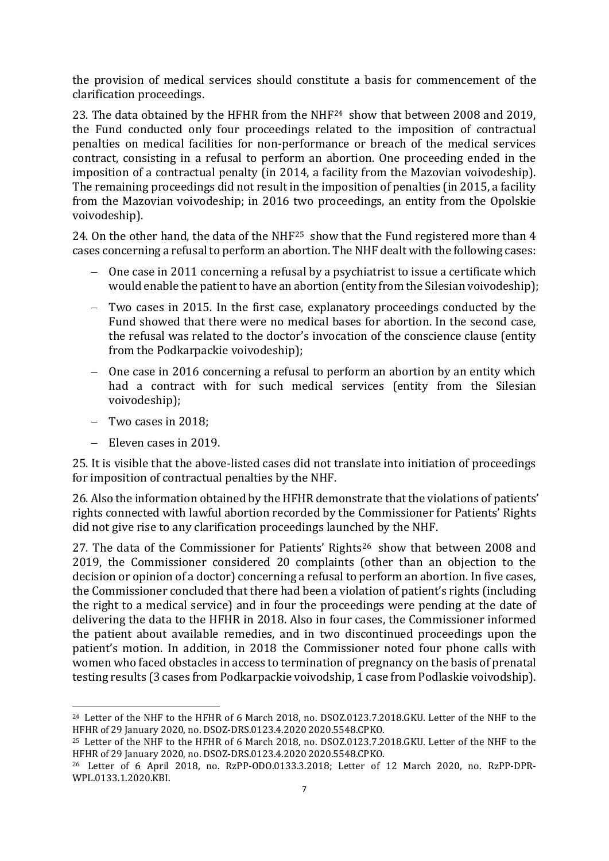the provision of medical services should constitute a basis for commencement of the clarification proceedings.

23. The data obtained by the HFHR from the NHF<sup>24</sup> show that between 2008 and 2019, the Fund conducted only four proceedings related to the imposition of contractual penalties on medical facilities for non-performance or breach of the medical services contract, consisting in a refusal to perform an abortion. One proceeding ended in the imposition of a contractual penalty (in 2014, a facility from the Mazovian voivodeship). The remaining proceedings did not result in the imposition of penalties (in 2015, a facility from the Mazovian voivodeship; in 2016 two proceedings, an entity from the Opolskie voivodeship).

24. On the other hand, the data of the NHF<sup>25</sup> show that the Fund registered more than 4 cases concerning a refusal to perform an abortion. The NHF dealt with the following cases:

- One case in 2011 concerning a refusal by a psychiatrist to issue a certificate which would enable the patient to have an abortion (entity from the Silesian voivodeship);
- Two cases in 2015. In the first case, explanatory proceedings conducted by the Fund showed that there were no medical bases for abortion. In the second case, the refusal was related to the doctor's invocation of the conscience clause (entity from the Podkarpackie voivodeship);
- One case in 2016 concerning a refusal to perform an abortion by an entity which had a contract with for such medical services (entity from the Silesian voivodeship);
- $-$  Two cases in 2018:

 $\overline{a}$ 

- Eleven cases in 2019.

25. It is visible that the above-listed cases did not translate into initiation of proceedings for imposition of contractual penalties by the NHF.

26. Also the information obtained by the HFHR demonstrate that the violations of patients' rights connected with lawful abortion recorded by the Commissioner for Patients' Rights did not give rise to any clarification proceedings launched by the NHF.

27. The data of the Commissioner for Patients' Rights<sup>26</sup> show that between 2008 and 2019, the Commissioner considered 20 complaints (other than an objection to the decision or opinion of a doctor) concerning a refusal to perform an abortion. In five cases, the Commissioner concluded that there had been a violation of patient's rights (including the right to a medical service) and in four the proceedings were pending at the date of delivering the data to the HFHR in 2018. Also in four cases, the Commissioner informed the patient about available remedies, and in two discontinued proceedings upon the patient's motion. In addition, in 2018 the Commissioner noted four phone calls with women who faced obstacles in access to termination of pregnancy on the basis of prenatal testing results (3 cases from Podkarpackie voivodship, 1 case from Podlaskie voivodship).

<sup>&</sup>lt;sup>24</sup> Letter of the NHF to the HFHR of 6 March 2018, no. DSOZ.0123.7.2018.GKU. Letter of the NHF to the HFHR of 29 January 2020, no. DSOZ-DRS.0123.4.2020 2020.5548.CPKO.

<sup>25</sup> Letter of the NHF to the HFHR of 6 March 2018, no. DSOZ.0123.7.2018.GKU. Letter of the NHF to the HFHR of 29 January 2020, no. DSOZ-DRS.0123.4.2020 2020.5548.CPKO.

<sup>26</sup> Letter of 6 April 2018, no. RzPP-ODO.0133.3.2018; Letter of 12 March 2020, no. RzPP-DPR-WPL.0133.1.2020.KBI.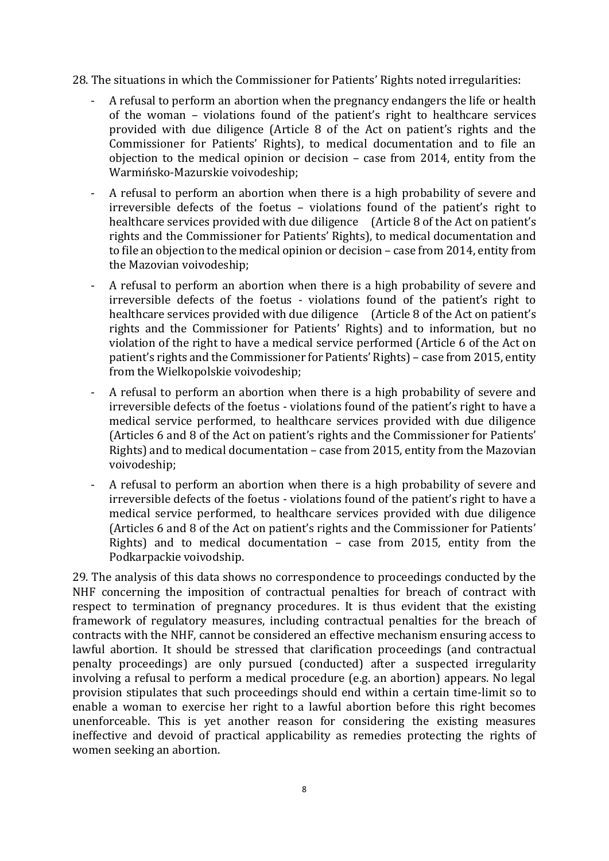28. The situations in which the Commissioner for Patients' Rights noted irregularities:

- A refusal to perform an abortion when the pregnancy endangers the life or health of the woman – violations found of the patient's right to healthcare services provided with due diligence (Article 8 of the Act on patient's rights and the Commissioner for Patients' Rights), to medical documentation and to file an objection to the medical opinion or decision – case from 2014, entity from the Warmińsko-Mazurskie voivodeship;
- A refusal to perform an abortion when there is a high probability of severe and irreversible defects of the foetus – violations found of the patient's right to healthcare services provided with due diligence (Article 8 of the Act on patient's rights and the Commissioner for Patients' Rights), to medical documentation and to file an objection to the medical opinion or decision – case from 2014, entity from the Mazovian voivodeship;
- A refusal to perform an abortion when there is a high probability of severe and irreversible defects of the foetus - violations found of the patient's right to healthcare services provided with due diligence (Article 8 of the Act on patient's rights and the Commissioner for Patients' Rights) and to information, but no violation of the right to have a medical service performed (Article 6 of the Act on patient's rights and the Commissioner for Patients' Rights) – case from 2015, entity from the Wielkopolskie voivodeship;
- A refusal to perform an abortion when there is a high probability of severe and irreversible defects of the foetus - violations found of the patient's right to have a medical service performed, to healthcare services provided with due diligence (Articles 6 and 8 of the Act on patient's rights and the Commissioner for Patients' Rights) and to medical documentation – case from 2015, entity from the Mazovian voivodeship;
- A refusal to perform an abortion when there is a high probability of severe and irreversible defects of the foetus - violations found of the patient's right to have a medical service performed, to healthcare services provided with due diligence (Articles 6 and 8 of the Act on patient's rights and the Commissioner for Patients' Rights) and to medical documentation – case from 2015, entity from the Podkarpackie voivodship.

29. The analysis of this data shows no correspondence to proceedings conducted by the NHF concerning the imposition of contractual penalties for breach of contract with respect to termination of pregnancy procedures. It is thus evident that the existing framework of regulatory measures, including contractual penalties for the breach of contracts with the NHF, cannot be considered an effective mechanism ensuring access to lawful abortion. It should be stressed that clarification proceedings (and contractual penalty proceedings) are only pursued (conducted) after a suspected irregularity involving a refusal to perform a medical procedure (e.g. an abortion) appears. No legal provision stipulates that such proceedings should end within a certain time-limit so to enable a woman to exercise her right to a lawful abortion before this right becomes unenforceable. This is yet another reason for considering the existing measures ineffective and devoid of practical applicability as remedies protecting the rights of women seeking an abortion.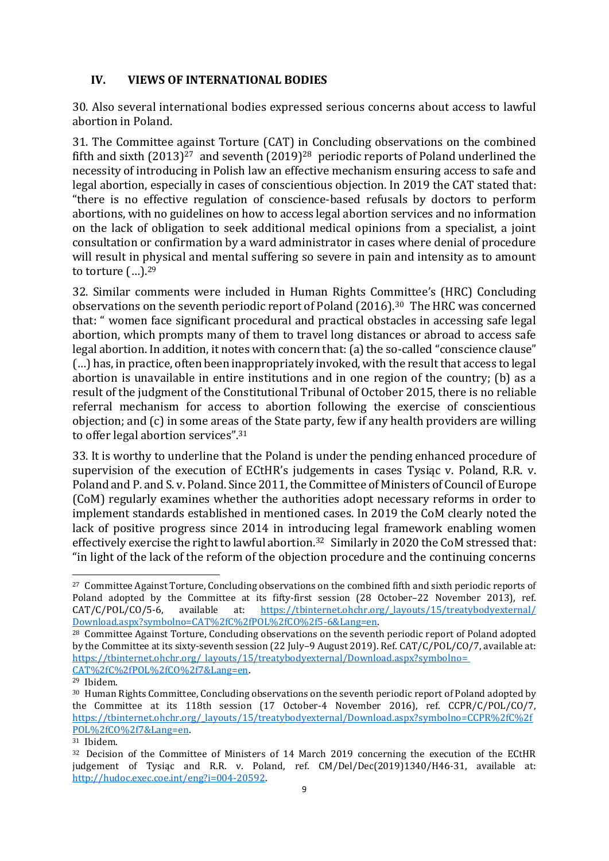## **IV. VIEWS OF INTERNATIONAL BODIES**

30. Also several international bodies expressed serious concerns about access to lawful abortion in Poland.

31. The Committee against Torture (CAT) in Concluding observations on the combined fifth and sixth  $(2013)^{27}$  and seventh  $(2019)^{28}$  periodic reports of Poland underlined the necessity of introducing in Polish law an effective mechanism ensuring access to safe and legal abortion, especially in cases of conscientious objection. In 2019 the CAT stated that: "there is no effective regulation of conscience-based refusals by doctors to perform abortions, with no guidelines on how to access legal abortion services and no information on the lack of obligation to seek additional medical opinions from a specialist, a joint consultation or confirmation by a ward administrator in cases where denial of procedure will result in physical and mental suffering so severe in pain and intensity as to amount to torture  $(...)$ .<sup>29</sup>

32. Similar comments were included in Human Rights Committee's (HRC) Concluding observations on the seventh periodic report of Poland (2016). <sup>30</sup> The HRC was concerned that: " women face significant procedural and practical obstacles in accessing safe legal abortion, which prompts many of them to travel long distances or abroad to access safe legal abortion. In addition, it notes with concern that: (a) the so-called "conscience clause" (…) has, in practice, often been inappropriately invoked, with the result that access to legal abortion is unavailable in entire institutions and in one region of the country; (b) as a result of the judgment of the Constitutional Tribunal of October 2015, there is no reliable referral mechanism for access to abortion following the exercise of conscientious objection; and (c) in some areas of the State party, few if any health providers are willing to offer legal abortion services". 31

33. It is worthy to underline that the Poland is under the pending enhanced procedure of supervision of the execution of ECtHR's judgements in cases Tysiąc v. Poland, R.R. v. Poland and P. and S. v. Poland.Since 2011, the Committee of Ministers of Council of Europe (CoM) regularly examines whether the authorities adopt necessary reforms in order to implement standards established in mentioned cases. In 2019 the CoM clearly noted the lack of positive progress since 2014 in introducing legal framework enabling women effectively exercise the right to lawful abortion.<sup>32</sup> Similarly in 2020 the CoM stressed that: "in light of the lack of the reform of the objection procedure and the continuing concerns

 $\overline{a}$ 

<sup>&</sup>lt;sup>27</sup> Committee Against Torture, Concluding observations on the combined fifth and sixth periodic reports of Poland adopted by the Committee at its fifty-first session (28 October–22 November 2013), ref.<br>CAT/C/POL/CO/5-6, available at: https://tbinternet.ohchr.org/ layouts/15/treatybodyexternal/ CAT/C/POL/CO/5-6, available at: [https://tbinternet.ohchr.org/\\_layouts/15/treatybodyexternal/](https://tbinternet.ohchr.org/_layouts/15/treatybodyexternal/%20Download.aspx?symbolno=CAT%2fC%2fPOL%2fCO%2f5-6&Lang=en)  [Download.aspx?symbolno=CAT%2fC%2fPOL%2fCO%2f5-6&Lang=en.](https://tbinternet.ohchr.org/_layouts/15/treatybodyexternal/%20Download.aspx?symbolno=CAT%2fC%2fPOL%2fCO%2f5-6&Lang=en)

<sup>&</sup>lt;sup>28</sup> Committee Against Torture, Concluding observations on the seventh periodic report of Poland adopted by the Committee at its sixty-seventh session (22 July–9 August 2019). Ref. CAT/C/POL/CO/7, available at: [https://tbinternet.ohchr.org/\\_layouts/15/treatybodyexternal/Download.aspx?symbolno=](https://tbinternet.ohchr.org/_layouts/15/treatybodyexternal/Download.aspx?symbolno=%20CAT%2fC%2fPOL%2fCO%2f7&Lang=en)  [CAT%2fC%2fPOL%2fCO%2f7&Lang=en.](https://tbinternet.ohchr.org/_layouts/15/treatybodyexternal/Download.aspx?symbolno=%20CAT%2fC%2fPOL%2fCO%2f7&Lang=en)

<sup>29</sup> Ibidem.

<sup>&</sup>lt;sup>30</sup> Human Rights Committee, Concluding observations on the seventh periodic report of Poland adopted by the Committee at its 118th session (17 October-4 November 2016), ref. CCPR/C/POL/CO/7, [https://tbinternet.ohchr.org/\\_layouts/15/treatybodyexternal/Download.aspx?symbolno=CCPR%2fC%2f](https://tbinternet.ohchr.org/_layouts/15/treatybodyexternal/Download.aspx?symbolno=CCPR%2fC%2fPOL%2fCO%2f7&Lang=en) [POL%2fCO%2f7&Lang=en.](https://tbinternet.ohchr.org/_layouts/15/treatybodyexternal/Download.aspx?symbolno=CCPR%2fC%2fPOL%2fCO%2f7&Lang=en)

<sup>31</sup> Ibidem.

<sup>&</sup>lt;sup>32</sup> Decision of the Committee of Ministers of 14 March 2019 concerning the execution of the ECtHR judgement of Tysiąc and R.R. v. Poland, ref. CM/Del/Dec(2019)1340/H46-31, available at: [http://hudoc.exec.coe.int/eng?i=004-20592.](http://hudoc.exec.coe.int/eng?i=004-20592)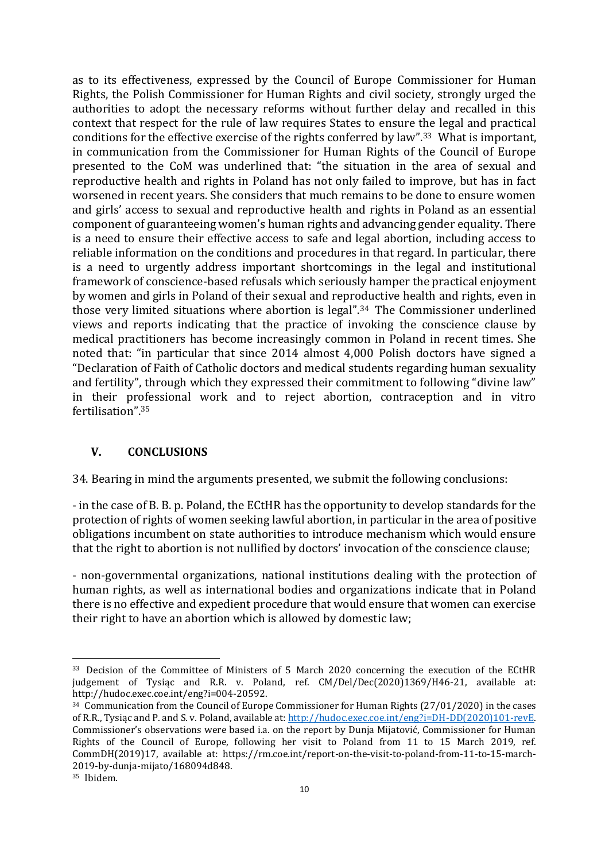as to its effectiveness, expressed by the Council of Europe Commissioner for Human Rights, the Polish Commissioner for Human Rights and civil society, strongly urged the authorities to adopt the necessary reforms without further delay and recalled in this context that respect for the rule of law requires States to ensure the legal and practical conditions for the effective exercise of the rights conferred by law".<sup>33</sup> What is important, in communication from the Commissioner for Human Rights of the Council of Europe presented to the CoM was underlined that: "the situation in the area of sexual and reproductive health and rights in Poland has not only failed to improve, but has in fact worsened in recent years. She considers that much remains to be done to ensure women and girls' access to sexual and reproductive health and rights in Poland as an essential component of guaranteeing women's human rights and advancing gender equality. There is a need to ensure their effective access to safe and legal abortion, including access to reliable information on the conditions and procedures in that regard. In particular, there is a need to urgently address important shortcomings in the legal and institutional framework of conscience-based refusals which seriously hamper the practical enjoyment by women and girls in Poland of their sexual and reproductive health and rights, even in those very limited situations where abortion is legal". <sup>34</sup> The Commissioner underlined views and reports indicating that the practice of invoking the conscience clause by medical practitioners has become increasingly common in Poland in recent times. She noted that: "in particular that since 2014 almost 4,000 Polish doctors have signed a "Declaration of Faith of Catholic doctors and medical students regarding human sexuality and fertility", through which they expressed their commitment to following "divine law" in their professional work and to reject abortion, contraception and in vitro fertilisation". 35

## **V. CONCLUSIONS**

34. Bearing in mind the arguments presented, we submit the following conclusions:

- in the case of B. B. p. Poland, the ECtHR has the opportunity to develop standards for the protection of rights of women seeking lawful abortion, in particular in the area of positive obligations incumbent on state authorities to introduce mechanism which would ensure that the right to abortion is not nullified by doctors' invocation of the conscience clause;

- non-governmental organizations, national institutions dealing with the protection of human rights, as well as international bodies and organizations indicate that in Poland there is no effective and expedient procedure that would ensure that women can exercise their right to have an abortion which is allowed by domestic law;

 $\overline{a}$ <sup>33</sup> Decision of the Committee of Ministers of 5 March 2020 concerning the execution of the ECtHR judgement of Tysiąc and R.R. v. Poland, ref. CM/Del/Dec(2020)1369/H46-21, available at: http://hudoc.exec.coe.int/eng?i=004-20592.

<sup>&</sup>lt;sup>34</sup> Communication from the Council of Europe Commissioner for Human Rights (27/01/2020) in the cases of R.R., Tysiąc and P. and S. v. Poland, available at: [http://hudoc.exec.coe.int/eng?i=DH-DD\(2020\)101-revE.](http://hudoc.exec.coe.int/eng?i=DH-DD(2020)101-revE)  Commissioner's observations were based i.a. on the report by Dunja Mijatović, Commissioner for Human Rights of the Council of Europe, following her visit to Poland from 11 to 15 March 2019, ref. CommDH(2019)17, available at: https://rm.coe.int/report-on-the-visit-to-poland-from-11-to-15-march-2019-by-dunja-mijato/168094d848.